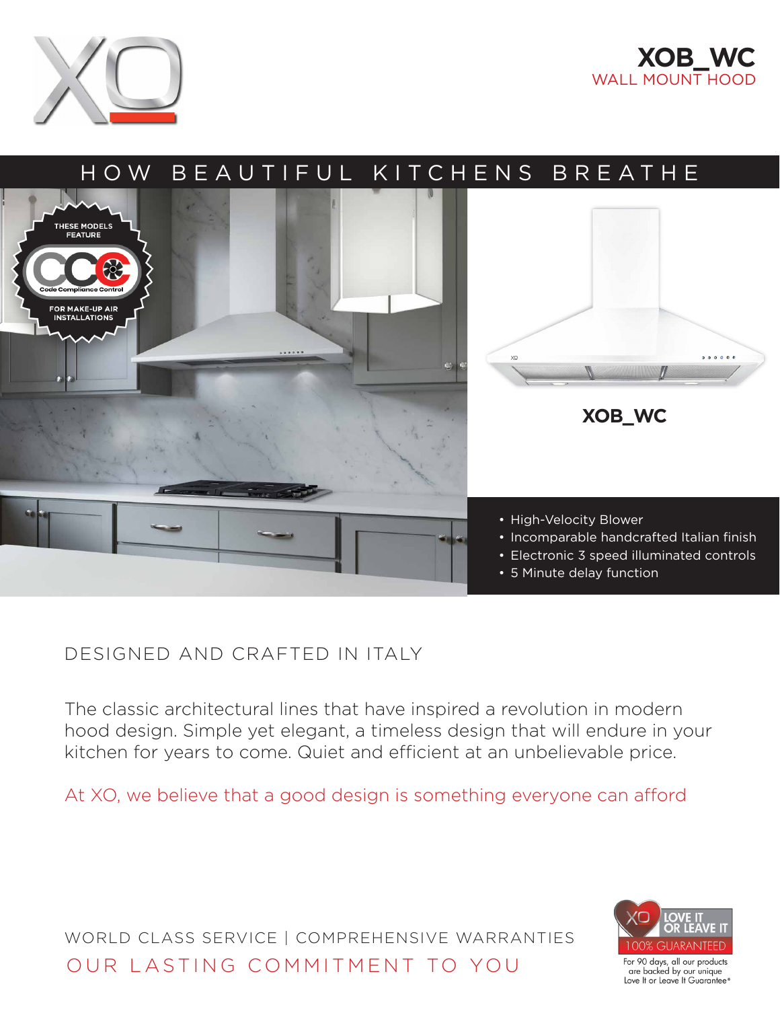





## DESIGNED AND CRAFTED IN ITALY

The classic architectural lines that have inspired a revolution in modern hood design. Simple yet elegant, a timeless design that will endure in your kitchen for years to come. Quiet and efficient at an unbelievable price.

At XO, we believe that a good design is something everyone can afford

WORLD CLASS SERVICE | COMPREHENSIVE WARRANTIES OUR LASTING COMMITMENT TO YOU



For 90 days, all our products<br>are backed by our unique Love It or Leave It Guarantee\*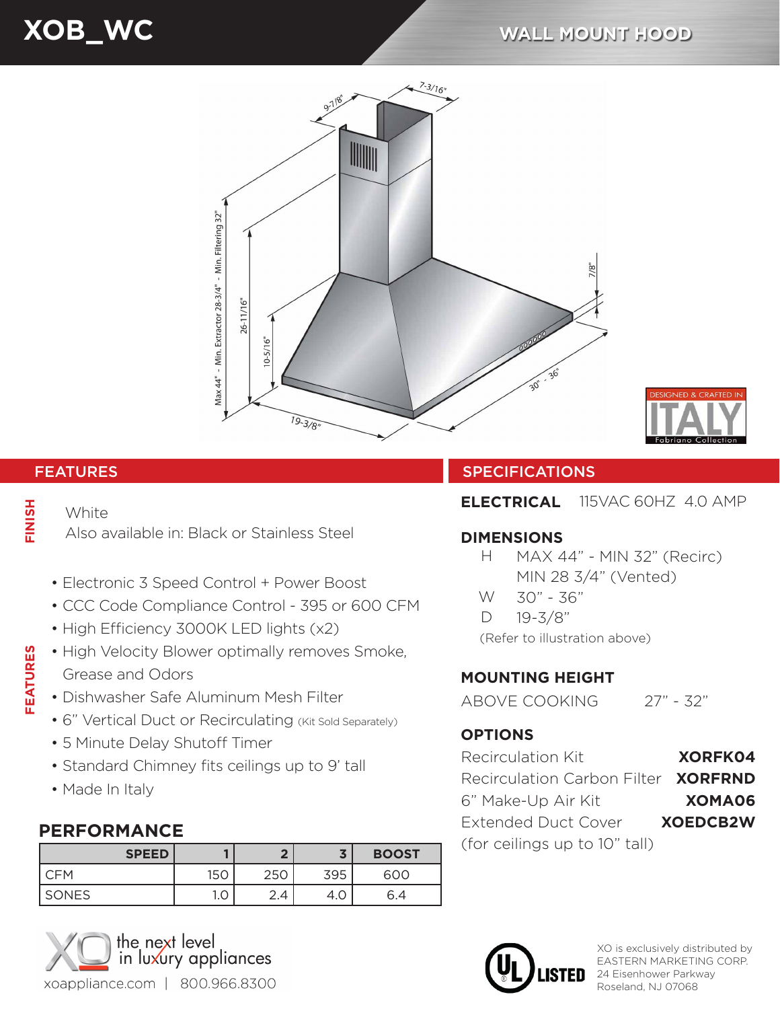# **XOB\_WC WALL MOUNT HOOD**



# FINISH **FEATURES FINISH**

**FEATURES** 

#### **White**

Also available in: Black or Stainless Steel

- Electronic 3 Speed Control + Power Boost
- CCC Code Compliance Control 395 or 600 CFM
- High Efficiency 3000K LED lights (x2)
- High Velocity Blower optimally removes Smoke, Grease and Odors
- Dishwasher Safe Aluminum Mesh Filter
- 6" Vertical Duct or Recirculating (Kit Sold Separately)
- 5 Minute Delay Shutoff Timer
- Standard Chimney fits ceilings up to 9' tall
- Made In Italy

## **PERFORMANCE**

| <b>SPEED</b> |     | ◚             |     | <b>BOOST</b> |
|--------------|-----|---------------|-----|--------------|
| <b>CFM</b>   | 150 | 250           | 395 | 600          |
| SONES        | 1.0 | $\sim$<br>2.4 | 4.0 | 6.4          |



#### FEATURES **SPECIFICATIONS**

**ELECTRICAL** 115VAC 60HZ 4.0 AMP

#### **DIMENSIONS**

- $H$ MAX 44" - MIN 32" (Recirc) MIN 28 3/4" (Vented)
- W 30" - 36"
- $\Box$ 19-3/8"

(Refer to illustration above)

## **MOUNTING HEIGHT**

ABOVE COOKING 27" - 32"

#### **OPTIONS**

| <b>Recirculation Kit</b>            | <b>XORFK04</b>  |
|-------------------------------------|-----------------|
| Recirculation Carbon Filter XORFRND |                 |
| 6" Make-Up Air Kit                  | XOMA06          |
| <b>Extended Duct Cover</b>          | <b>XOEDCB2W</b> |
| (for ceilings up to 10" tall)       |                 |



XO is exclusively distributed by EASTERN MARKETING CORP. 24 Eisenhower Parkway Roseland, NJ 07068